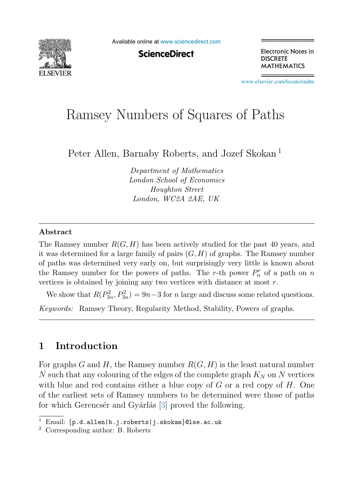

Available online at [www.sciencedirect.com](http://www.sciencedirect.com)

**ScienceDirect** 

Electronic Notes in **DISCRETE MATHEMATICS** 

[www.elsevier.com/locate/endm](http://www.elsevier.com/locate/endm)

# Ramsey Numbers of Squares of Paths

Peter Allen, Barnaby Roberts, and Jozef Skokan <sup>1</sup>

*Department of Mathematics London School of Economics Houghton Street London, WC2A 2AE, UK*

#### **Abstract**

The Ramsey number  $R(G, H)$  has been actively studied for the past 40 years, and it was determined for a large family of pairs  $(G, H)$  of graphs. The Ramsey number of paths was determined very early on, but surprisingly very little is known about the Ramsey number for the powers of paths. The r-th power  $P_n^r$  of a path on n vertices is obtained by joining any two vertices with distance at most r.

We show that  $R(P_{3n}^2, P_{3n}^2) = 9n-3$  for n large and discuss some related questions. *Keywords:* Ramsey Theory, Regularity Method, Stability, Powers of graphs.

# **1 Introduction**

For graphs G and H, the Ramsey number  $R(G, H)$  is the least natural number  $N$  such that any colouring of the edges of the complete graph  $K_N$  on  $N$  vertices with blue and red contains either a blue copy of  $G$  or a red copy of  $H$ . One of the earliest sets of Ramsey numbers to be determined were those of paths for which Gerencser and Gyarfas [\[3\]](#page-4-0) proved the following.

<sup>&</sup>lt;sup>1</sup> Email:  $\{p.d.a1len|b.j.roberts|j.skokan\}$ @lse.ac.uk <sup>2</sup> Corresponding author: B. Roberts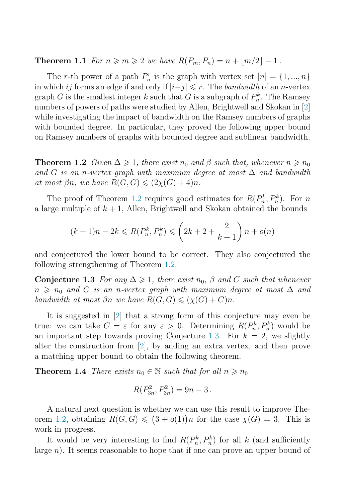<span id="page-1-0"></span>**Theorem 1.1** For  $n \geqslant m \geqslant 2$  we have  $R(P_m, P_n) = n + \lfloor m/2 \rfloor - 1$ .

The r-th power of a path  $P_n^r$  is the graph with vertex set  $[n] = \{1, ..., n\}$ in which ij forms an edge if and only if  $|i-j| \leq r$ . The *bandwidth* of an *n*-vertex graph G is the smallest integer k such that G is a subgraph of  $P_n^k$ . The Ramsey numbers of powers of paths were studied by Allen, Brightwell and Skokan in [\[2\]](#page-4-0) while investigating the impact of bandwidth on the Ramsey numbers of graphs with bounded degree. In particular, they proved the following upper bound on Ramsey numbers of graphs with bounded degree and sublinear bandwidth.

**Theorem 1.2** Given  $\Delta \geq 1$ , there exist  $n_0$  and  $\beta$  such that, whenever  $n \geq n_0$ and G is an n-vertex graph with maximum degree at most  $\Delta$  and bandwidth at most  $\beta n$ , we have  $R(G, G) \leqslant (2\chi(G) + 4)n$ .

The proof of Theorem 1.2 requires good estimates for  $R(P_n^k, P_n^k)$ . For n a large multiple of  $k + 1$ , Allen, Brightwell and Skokan obtained the bounds

$$
(k+1)n - 2k \le R(P_n^k, P_n^k) \le \left(2k + 2 + \frac{2}{k+1}\right)n + o(n)
$$

and conjectured the lower bound to be correct. They also conjectured the following strengthening of Theorem 1.2.

**Conjecture 1.3** For any  $\Delta \geq 1$ , there exist  $n_0$ ,  $\beta$  and C such that whenever  $n \geq n_0$  and G is an n-vertex graph with maximum degree at most  $\Delta$  and bandwidth at most  $\beta n$  we have  $R(G, G) \leqslant (\chi(G) + C)n$ .

It is suggested in [\[2\]](#page-4-0) that a strong form of this conjecture may even be true: we can take  $C = \varepsilon$  for any  $\varepsilon > 0$ . Determining  $R(P_n^k, P_n^k)$  would be an important step towards proving Conjecture 1.3. For  $k = 2$ , we slightly alter the construction from [\[2\]](#page-4-0), by adding an extra vertex, and then prove a matching upper bound to obtain the following theorem.

**Theorem 1.4** There exists  $n_0 \in \mathbb{N}$  such that for all  $n \geq n_0$ 

$$
R(P_{3n}^2, P_{3n}^2) = 9n - 3.
$$

A natural next question is whether we can use this result to improve Theorem 1.2, obtaining  $R(G, G) \leq (3 + o(1))n$  for the case  $\chi(G) = 3$ . This is work in progress.

It would be very interesting to find  $R(P_n^k, P_n^k)$  for all k (and sufficiently large n). It seems reasonable to hope that if one can prove an upper bound of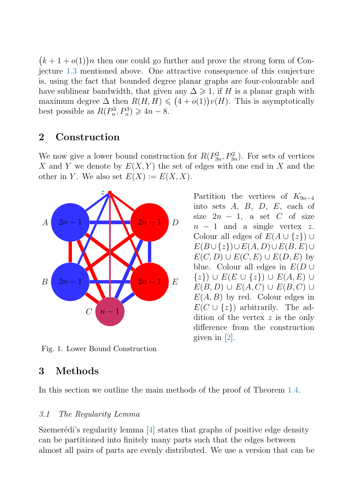$(k + 1 + o(1))n$  then one could go further and prove the strong form of Conjecture [1.3](#page-1-0) mentioned above. One attractive consequence of this conjecture is, using the fact that bounded degree planar graphs are four-colourable and have sublinear bandwidth, that given any  $\Delta \geqslant 1$ , if H is a planar graph with maximum degree  $\Delta$  then  $R(H, H) \leq (4 + o(1))v(H)$ . This is asymptotically best possible as  $R(P_n^3, P_n^3) \geq 4n - 8$ .

## **2 Construction**

We now give a lower bound construction for  $R(P_{3n}^2, P_{3n}^2)$ . For sets of vertices X and Y we denote by  $E(X, Y)$  the set of edges with one end in X and the other in Y. We also set  $E(X) := E(X, X)$ .



 $n - 1$  and a single vertex z. Colour all edges of  $E(A \cup \{z\}) \cup$  $E(B\cup\{z\})\cup E(A, D)\cup E(B, E)\cup$  $E(C, D) \cup E(C, E) \cup E(D, E)$  by blue. Colour all edges in  $E(D \cup$  $\{z\}\right) \cup E(E \cup \{z\}) \cup E(A, E) \cup$  $E(B, D) \cup E(A, C) \cup E(B, C) \cup$  $E(A, B)$  by red. Colour edges in  $E(C \cup \{z\})$  arbitrarily. The addition of the vertex z is the only difference from the construction given in [\[2\]](#page-4-0).

Partition the vertices of  $K_{9n-4}$ into sets  $A$ ,  $B$ ,  $D$ ,  $E$ , each of size  $2n - 1$ , a set C of size

Fig. 1. Lower Bound Construction

# **3 Methods**

In this section we outline the main methods of the proof of Theorem [1.4.](#page-1-0)

## 3.1 The Regularity Lemma

Szemerédi's regularity lemma  $[4]$  states that graphs of positive edge density can be partitioned into finitely many parts such that the edges between almost all pairs of parts are evenly distributed. We use a version that can be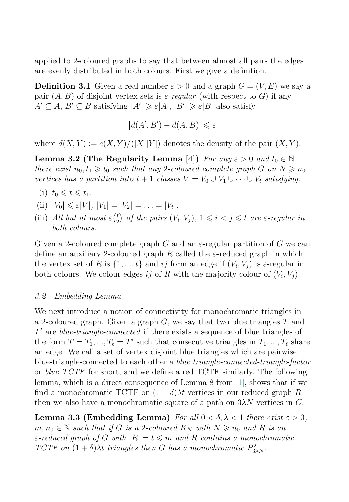<span id="page-3-0"></span>applied to 2-coloured graphs to say that between almost all pairs the edges are evenly distributed in both colours. First we give a definition.

**Definition 3.1** Given a real number  $\varepsilon > 0$  and a graph  $G = (V, E)$  we say a pair  $(A, B)$  of disjoint vertex sets is  $\varepsilon$ -regular (with respect to G) if any  $A' \subseteq A, B' \subseteq B$  satisfying  $|A'| \geq \varepsilon |A|, |B'| \geq \varepsilon |B|$  also satisfy

$$
|d(A',B') - d(A,B)| \leq \varepsilon
$$

where  $d(X, Y) := e(X, Y) / (|X||Y|)$  denotes the density of the pair  $(X, Y)$ .

**Lemma 3.2 (The Regularity Lemma [\[4\]](#page-4-0))** For any  $\varepsilon > 0$  and  $t_0 \in \mathbb{N}$ there exist  $n_0, t_1 \geq t_0$  such that any 2-coloured complete graph G on  $N \geq n_0$ vertices has a partition into  $t + 1$  classes  $V = V_0 \cup V_1 \cup \cdots \cup V_t$  satisfying:

- (i)  $t_0 \leqslant t \leqslant t_1$ .
- (ii)  $|V_0| \leq \varepsilon |V|$ ,  $|V_1| = |V_2| = \ldots = |V_t|$ .
- (iii) All but at most  $\varepsilonbin2)$  of the pairs  $(V_i, V_j)$ ,  $1 \leq i < j \leq t$  are  $\varepsilon$ -regular in both colours.

Given a 2-coloured complete graph G and an  $\varepsilon$ -regular partition of G we can define an auxiliary 2-coloured graph R called the  $\varepsilon$ -reduced graph in which the vertex set of R is  $\{1, ..., t\}$  and ij form an edge if  $(V_i, V_j)$  is  $\varepsilon$ -regular in both colours. We colour edges ij of R with the majority colour of  $(V_i, V_i)$ .

### 3.2 Embedding Lemma

We next introduce a notion of connectivity for monochromatic triangles in a 2-coloured graph. Given a graph  $G$ , we say that two blue triangles  $T$  and  $T'$  are *blue-triangle-connected* if there exists a sequence of blue triangles of the form  $T = T_1, ..., T_\ell = T'$  such that consecutive triangles in  $T_1, ..., T_\ell$  share an edge. We call a set of vertex disjoint blue triangles which are pairwise blue-triangle-connected to each other a blue triangle-connected-triangle-factor or blue TCTF for short, and we define a red TCTF similarly. The following lemma, which is a direct consequence of Lemma 8 from [\[1\]](#page-4-0), shows that if we find a monochromatic TCTF on  $(1 + \delta)\lambda t$  vertices in our reduced graph R then we also have a monochromatic square of a path on  $3\lambda N$  vertices in G.

**Lemma 3.3 (Embedding Lemma)** For all  $0 < \delta, \lambda < 1$  there exist  $\varepsilon > 0$ ,  $m, n_0 \in \mathbb{N}$  such that if G is a 2-coloured  $K_N$  with  $N \geq n_0$  and R is an  $\varepsilon$ -reduced graph of G with  $|R|=t \leqslant m$  and R contains a monochromatic TCTF on  $(1 + \delta)\lambda t$  triangles then G has a monochromatic  $P_{3\lambda N}^2$ .